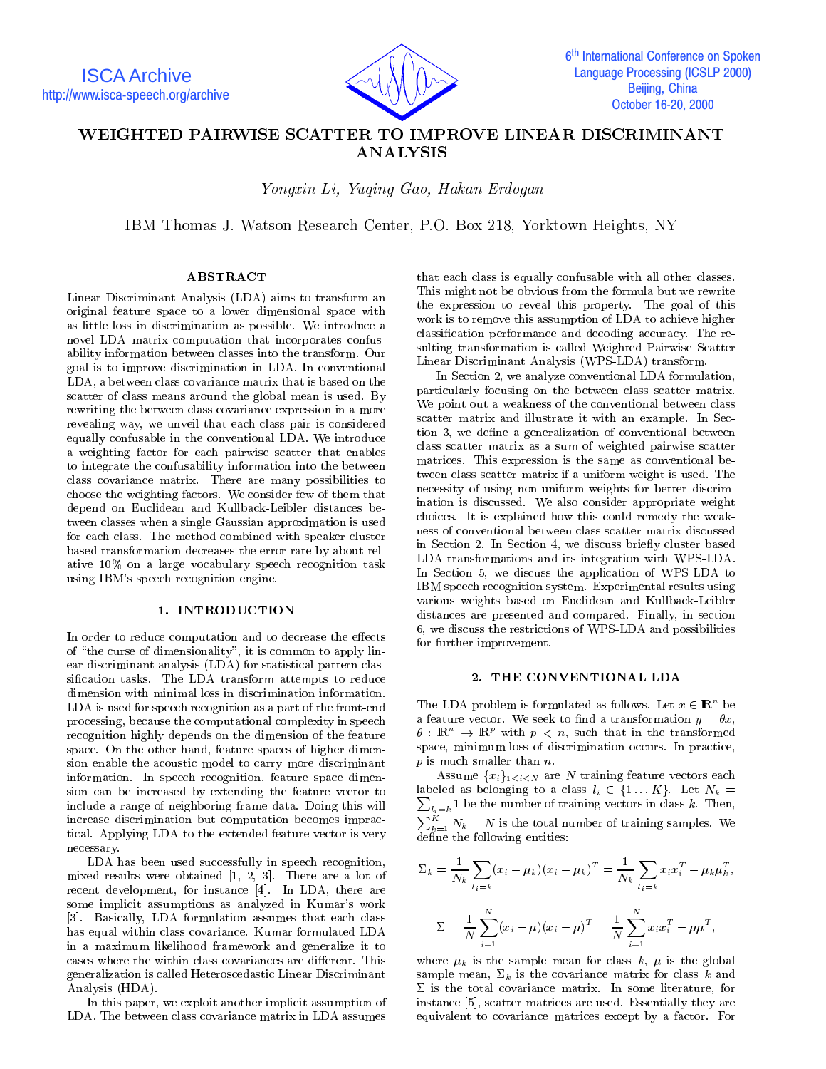

# WEIGHTED PAIRWISE SCATTER TO IMPROVE LINEAR DISCRIMINANT

You are the Congress County County of the County of the County of the County of the County of the County of the County of the County of the County of the County of the County of the County of the County of the County of th

IBM Thomas J. Watson Research Center, P.O. Box 218, Yorktown Heights, NY

## ABSTRACT

Linear Discriminant Analysis (LDA) aims to transform an original feature space to a lower dimensional space with as little loss in discrimination as possible. We introduce a novel LDA matrix computation that incorporates confusability information between classes into the transform. Our goal is to improve discrimination in LDA. In conventional LDA, a between class covariance matrix that is based on the scatter of class means around the global mean is used. By rewriting the between class covariance expression in a more revealing way, we unveil that each class pair is considered equally confusable in the conventional LDA. We introduce a weighting factor for each pairwise scatter that enables to integrate the confusability information into the between class covariance matrix. There are many possibilities to choose the weighting factors. We consider few of them that depend on Euclidean and Kullback-Leibler distances between classes when a single Gaussian approximation is used for each class. The method combined with speaker cluster based transformation decreases the error rate by about relative 10% on alarge vocabulary speech recognition task using IBM's speech recognition engine.

# 1. INTRODUCTION

In order to reduce computation and to decrease the effects of "the curse of dimensionality", it is common to apply linear discriminant analysis (LDA) for statistical pattern classication tasks. The LDA transform attempts to reduce dimension with minimal loss in discrimination information. LDA is used for speech recognition as a part of the front-end processing, because the computational complexity in speech recognition highly depends on the dimension of the feature space. On the other hand, feature spaces of higher dimension enable the acoustic model to carry more discriminant information. In speech recognition, feature space dimension can be increased by extending the feature vector to include a range of neighboring frame data. Doing this will increase discrimination but computation becomes impractical. Applying LDA to the extended feature vector is very necessary.

LDA has been used successfully in speech recognition, mixed results were obtained [1, 2, 3]. There are a lot of recent development, for instance [4]. In LDA, there are some implicit assumptions as analyzed in Kumar's work [3]. Basically, LDA formulation assumes that each class has equal within class covariance. Kumar formulated LDA in a maximum likelihood framework and generalize it to cases where the within class covariances are different. This generalization is called Heteroscedastic Linear Discriminant Analysis (HDA).

In this paper, we exploit another implicit assumption of LDA. The between class covariance matrix in LDA assumes

that each class is equally confusable with all other classes. This might not be obvious from the formula but we rewrite the expression to reveal this property. The goal of this work is to remove this assumption of LDA to achieve higher classication performance and decoding accuracy. The resulting transformation is called Weighted Pairwise Scatter Linear Discriminant Analysis (WPS-LDA) transform.

In Section 2, we analyze conventional LDA formulation, particularly focusing on the between class scatter matrix. We point out a weakness of the conventional between class scatter matrix and illustrate it with an example. In Section 3, we define a generalization of conventional between class scatter matrix as a sum of weighted pairwise scatter matrices. This expression is the same as conventional between class scatter matrix if a uniform weight is used. The necessity of using non-uniform weights for better discrimination is discussed. We also consider appropriate weight choices. It is explained how this could remedy the weakness of conventional between class scatter matrix discussed in Section 2. In Section 4, we discuss briefly cluster based LDA transformations and its integration with WPS-LDA. In Section 5, we discuss the application of WPS-LDA to IBM speech recognition system. Experimental results using various weights based on Euclidean and Kullback-Leibler distances are presented and compared. Finally, in section 6, we discuss the restrictions of WPS-LDA and possibilities for further improvement.

## 2. THE CONVENTIONAL LDA

The LDA problem is formulated as follows. Let  $x \in \mathbb{R}^n$  be a feature vector. We seek to find a transformation  $y = \theta x$ ,  $\theta$  : IRe  $\rightarrow$  IRe with  $p \leq n$ , such that in the transformed space, minimum loss of discrimination occurs. In practice,  $p$  is much smaller than  $n$ .

Assume  ${x_i}_{1 \leq i \leq N}$  are N training feature vectors each labeled in a class line of  $\alpha$  is defined if  $\alpha$  for  $\alpha$  . Let  $\alpha$  if  $\alpha$  $l_i=k$  1 be the number of training vectors in class k. Then,  $\sum_{k=1}^{K} N_k = N$  is the total number of training samples. We  $\overline{\text{define}}$  the following entities:

$$
\Sigma_k = \frac{1}{N_k} \sum_{l_i=k} (x_i - \mu_k)(x_i - \mu_k)^T = \frac{1}{N_k} \sum_{l_i=k} x_i x_i^T - \mu_k \mu_k^T,
$$
  

$$
\Sigma = \frac{1}{N} \sum_{i=1}^N (x_i - \mu)(x_i - \mu)^T = \frac{1}{N} \sum_{i=1}^N x_i x_i^T - \mu \mu^T,
$$

where  $\mu_k$  is the sample mean for class k,  $\mu$  is the global sample mean,  $\Sigma_k$  is the covariance matrix for class k and  $\Sigma$  is the total covariance matrix. In some literature, for instance [5], scatter matrices are used. Essentially they are equivalent to covariance matrices except by a factor. For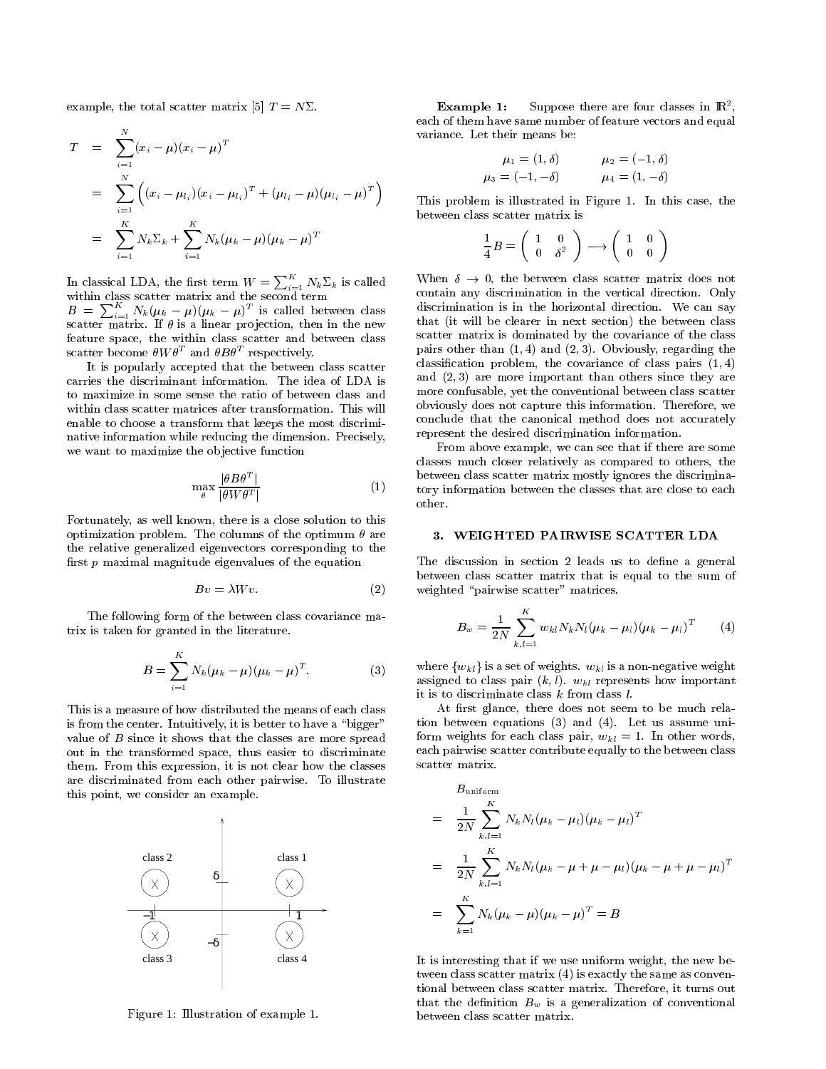example, the total scatter matrix [5]  $T = N\Sigma$ .

$$
T = \sum_{i=1}^{N} (x_i - \mu)(x_i - \mu)^T
$$
  
\n
$$
= \sum_{i=1}^{N} ((x_i - \mu_{l_i})(x_i - \mu_{l_i})^T + (\mu_{l_i} - \mu)(\mu_{l_i} - \mu)^T)
$$
  
\n
$$
= \sum_{i=1}^{K} N_k \Sigma_k + \sum_{i=1}^{K} N_k (\mu_k - \mu)(\mu_k - \mu)^T
$$

In classical LDA, the first term  $W = \sum_{i=1}^{K} N_k \Sigma_k$  is called Wh  $B = \sum_{i=1}^{K} N_k(\mu_k - \mu)(\mu_k - \mu)^T$  is called between class scatter matrix. If  $\theta$  is a linear projection, then in the new feature space, the within class scatter and between class

scatter become  $\theta W \theta^+$  and  $\theta B \theta^+$  respectively. It is popularly accepted that the between class scatter carries the discriminant information. The idea of LDA is to maximize in some sense the ratio of between class and within class scatter matrices after transformation. This will enable to choose a transform that keeps the most discriminative information while reducing the dimension. Precisely,

we want to maximize the objective function

$$
\max_{\theta} \frac{|\theta B \theta^T|}{|\theta W \theta^T|} \tag{1} \qquad \qquad t
$$

Fortunately, as well known, there is a close solution to this optimization problem. The columns of the optimum  $\theta$  are the relative generalized eigenvectors corresponding to the first  $p$  maximal magnitude eigenvalues of the equation

$$
Bv = \lambda Wv. \tag{2}
$$

The following form of the between class covariance matrix is taken for granted in the literature.

$$
B = \sum_{i=1}^{K} N_k (\mu_k - \mu) (\mu_k - \mu)^T.
$$
 (3)

This is a measure of how distributed the means of each class is from the center. Intuitively, it is better to have a "bigger" value of B since it shows that the classes are more spreads out in the transformed space, thus easier to discriminate them. From this expression, it is not clear how the classes are discriminated from each other pairwise. To illustrate this point, we consider an example.



Figure 1: Illustration of example 1.

**Example 1:** Suppose there are four classes in  $\mathbb{R}^2$ each of them have same number of feature vectors and equal variance. Let their means be:

$$
\mu_1 = (1, \delta)
$$
  $\mu_2 = (-1, \delta)$   
\n $\mu_3 = (-1, -\delta)$   $\mu_4 = (1, -\delta)$ 

This problem is illustrated in Figure 1.In this case, the between class scatter matrix is

$$
\frac{1}{4}B = \left(\begin{array}{cc} 1 & 0 \\ 0 & \delta^2 \end{array}\right) \longrightarrow \left(\begin{array}{cc} 1 & 0 \\ 0 & 0 \end{array}\right)
$$

When  $\delta \rightarrow 0$ , the between class scatter matrix does not contain any discrimination in the vertical direction. Only discrimination is in the horizontal direction. We can say that (it will be clearer in next section) the between class scatter matrix is dominated by the covariance of the class pairs other than  $(1, 4)$  and  $(2, 3)$ . Obviously, regarding the classification problem, the covariance of class pairs  $(1, 4)$ and  $(2, 3)$  are more important than others since they are more confusable, yet the conventional between class scatter obviously does not capture this information. Therefore, we conclude that the canonical method does not accurately represent the desired discrimination information.

From above example, we can see that if there are some classes much closer relatively as compared to others, the between class scatter matrix mostly ignores the discriminatory information between the classes that are close to each other.

# 3. WEIGHTED PAIRWISE SCATTER LDA

The discussion in section 2 leads us to define a general between class scatter matrix that is equal to the sum of weighted "pairwise scatter" matrices.

$$
B_w = \frac{1}{2N} \sum_{k,l=1}^{K} w_{kl} N_k N_l (\mu_k - \mu_l) (\mu_k - \mu_l)^T
$$
 (4)

where  $\{w_{kl}\}\$ is a set of weights.  $w_{kl}$  is a non-negative weight assigned to class pair  $(k, l)$ .  $w_{kl}$  represents how important it is to discriminate class  $k$  from class  $l$ .

At first glance, there does not seem to be much relation between equations  $(3)$  and  $(4)$ . Let us assume uniform weights for each class pair,  $w_{kl} = 1$ . In other words, each pairwise scatter contribute equally to the between class scatter matrix.

$$
B_{uniform}
$$
  
=  $\frac{1}{2N} \sum_{k,l=1}^{K} N_k N_l (\mu_k - \mu_l) (\mu_k - \mu_l)^T$   
=  $\frac{1}{2N} \sum_{k,l=1}^{K} N_k N_l (\mu_k - \mu + \mu - \mu_l) (\mu_k - \mu + \mu - \mu_l)^T$   
=  $\sum_{k=1}^{K} N_k (\mu_k - \mu) (\mu_k - \mu)^T = B$ 

It is interesting that if we use uniform weight, the new between class scatter matrix (4) is exactly the same as conven tional between class scatter matrix. Therefore, it turns out that the definition  $B_w$  is a generalization of conventional between class scatter matrix.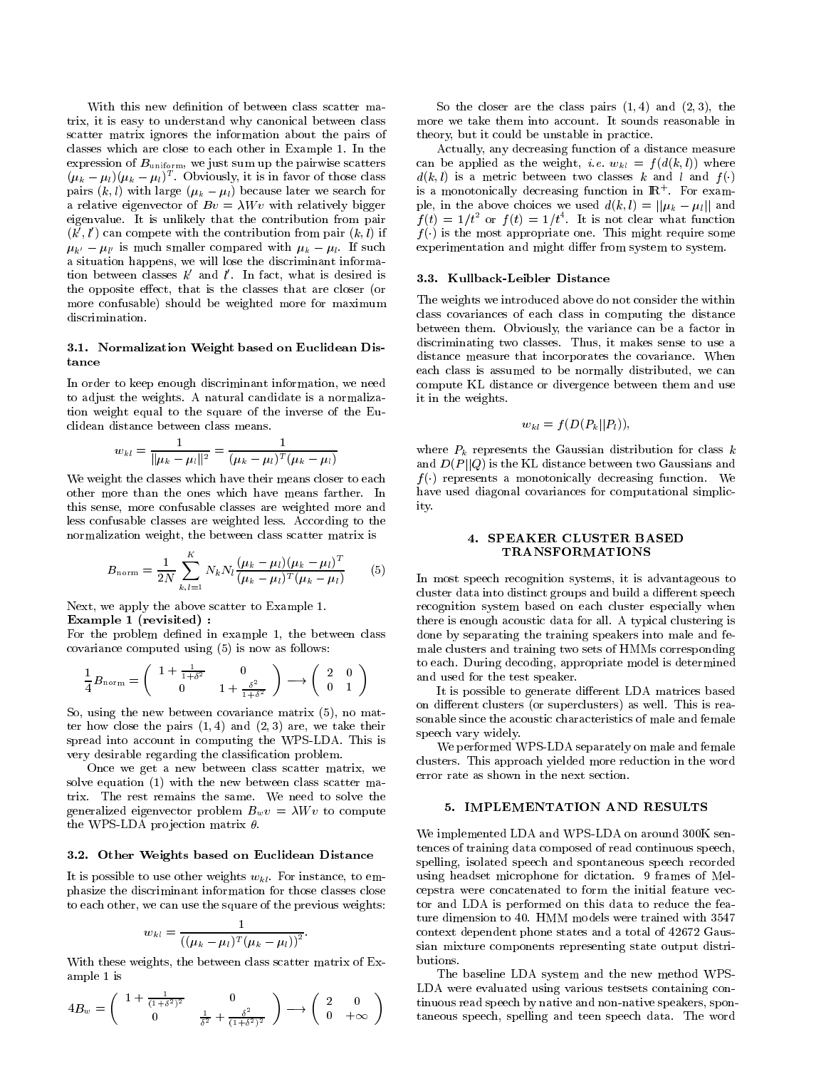With this new definition of between class scatter matrix, it is easy to understand why canonical between class scatter matrix ignores the information about the pairs of classes which are close to each other in Example 1. In the expression of  $B<sub>uniform</sub>$ , we just sum up the pairwise scatters  $(\mu_k - \mu_l)(\mu_k - \mu_l)$  . Obviously, it is in favor of those class a pairs  $(k, l)$  with large  $(\mu_k - \mu_l)$  because later we search for a relative eigenvector of  $Bv = \lambda Wv$  with relatively bigger eigenvalue. It is unlikely that the contribution from pair  $(k, l)$  can compete with the contribution from pair  $(k, l)$  if  $\mu_{k'} - \mu_{l'}$  is much smaller compared with  $\mu_k - \mu_{l}$ . If such a situation happens, we will lose the discriminant information between classes  $\kappa$  and  $\iota$  . In fact, what is desired is  $\qquad$  3 the opposite effect, that is the classes that are closer (or more confusable) should be weighted more for maximum discrimination.

## 3.1. Normalization Weight based on Euclidean Distance

In order to keep enough discriminant information, we need to adjust the weights. A natural candidate is a normalization weight equal to the square of the inverse of the Euclidean distance between class means.

$$
w_{kl} = \frac{1}{\|\mu_k - \mu_l\|^2} = \frac{1}{(\mu_k - \mu_l)^T (\mu_k - \mu_l)}
$$

We weight the classes which have their means closer to each other more than the ones which have means farther. In this sense, more confusable classes are weighted more and less confusable classes are weighted less. According to the normalization weight, the between class scatter matrix is

$$
B_{\text{norm}} = \frac{1}{2N} \sum_{k,l=1}^{K} N_k N_l \frac{(\mu_k - \mu_l)(\mu_k - \mu_l)^T}{(\mu_k - \mu_l)^T (\mu_k - \mu_l)}
$$
(5)

Next, we apply the above scatter to Example 1.

Example 1 (revisited) :

For the problem defined in example 1, the between class covariance computed using (5) is now as follows:

$$
\frac{1}{4}B_{\text{norm}} = \begin{pmatrix} 1 + \frac{1}{1+\delta^2} & 0\\ 0 & 1 + \frac{\delta^2}{1+\delta^2} \end{pmatrix} \longrightarrow \begin{pmatrix} 2 & 0\\ 0 & 1 \end{pmatrix}
$$

So, using the new between covariance matrix (5), no matter how close the pairs  $(1, 4)$  and  $(2, 3)$  are, we take their spread into account in computing the WPS-LDA. This is very desirable regarding the classification problem.

Once we get a new between class scatter matrix, we solve equation (1) with the new between class scatter matrix. The rest remains the same. We need to solve the generalized eigenvector problem  $B_wv = \lambda Wv$  to compute the WPS-LDA projection matrix  $\theta$ .

#### 3.2. Other Weights based on Euclidean Distance

It is possible to use other weights  $w_{kl}$ . For instance, to emphasize the discriminant information for those classes close to each other, we can use the square of the previous weights:

$$
w_{kl} = \frac{1}{((\mu_k - \mu_l)^T (\mu_k - \mu_l))^2}.
$$

With these weights, the between class scatter matrix of Example 1 is

$$
4B_w = \begin{pmatrix} 1 + \frac{1}{(1+\delta^2)^2} & 0 \\ 0 & \frac{1}{\delta^2} + \frac{\delta^2}{(1+\delta^2)^2} \end{pmatrix} \longrightarrow \begin{pmatrix} 2 & 0 \\ 0 & +\infty \end{pmatrix}
$$

So the closer are the class pairs  $(1, 4)$  and  $(2, 3)$ , the more we take them into account. It sounds reasonable in theory, but it could be unstable in practice.

Actually, any decreasing function of a distance measure can be applied as the weight, *i.e.*  $w_{kl} = f(d(k, l))$  where  $d(k, l)$  is a metric between two classes k and l and  $f(.)$ is a monotonically decreasing function in IR+ For example, in the above choices we used  $d(k, l) = ||\mu_k - \mu_l||$  and  $f(t) = 1/t$  or  $f(t) = 1/t$ . It is not clear what function  $f(\cdot)$  is the most appropriate one. This might require some experimentation and might differ from system to system.

#### 3.3. Kullback-Leibler Distance

The weights we introduced above do not consider the within class covariances of each class in computing the distance between them. Obviously, the variance can be a factor in discriminating two classes. Thus, it makes sense to use a distance measure that incorporates the covariance. When each class is assumed to be normally distributed, we can compute KL distance or divergence between them and use it in the weights.

$$
w_{kl}=f(D(P_k||P_l)),
$$

where  $P_k$  represents the Gaussian distribution for class  $k$ and  $D(P||Q)$  is the KL distance between two Gaussians and  $f(\cdot)$  represents a monotonically decreasing function. We have used diagonal covariances for computational simplicity.

# 4. SPEAKER CLUSTER BASED TRANSFORMATIONS

(5) In most speech recognition systems, it is advantageous to  $\begin{pmatrix} 2 & 0 \\ 0 & 1 \end{pmatrix}$  and used for the test speaker. cluster data into distinct groups and build a different speech recognition system based on each cluster especially when there is enough acoustic data for all. A typical clustering is done by separating the training speakers into male and female clusters and training two sets of HMMs corresponding to each. During decoding, appropriate model is determined

It is possible to generate different LDA matrices based on different clusters (or superclusters) as well. This is reasonable since the acoustic characteristics of male and female speech vary widely.

We performed WPS-LDA separately on male and female clusters. This approach yielded more reduction in the word error rate as shown in the next section.

# 5. IMPLEMENTATION AND RESULTS

We implemented LDA and WPS-LDA on around 300K sentences of training data composed of read continuous speech, spelling, isolated speech and spontaneous speech recorded using headset microphone for dictation. 9 frames of Melcepstra were concatenated to form the initial feature vec tor and LDA is performed on this data to reduce the feature dimension to 40. HMM models were trained with 3547 context dependent phone states and a total of 42672 Gaussian mixture components representing state output distributions.

0 +1 taneous speech, spelling and teen speech data. The word $\mathcal{L}$  were evaluated using various tests containing containing containing containing containing containing containing  $\mathcal{L}$ The baseline LDA system and the new method WPStinuous read speech by native and non-native speakers, spon